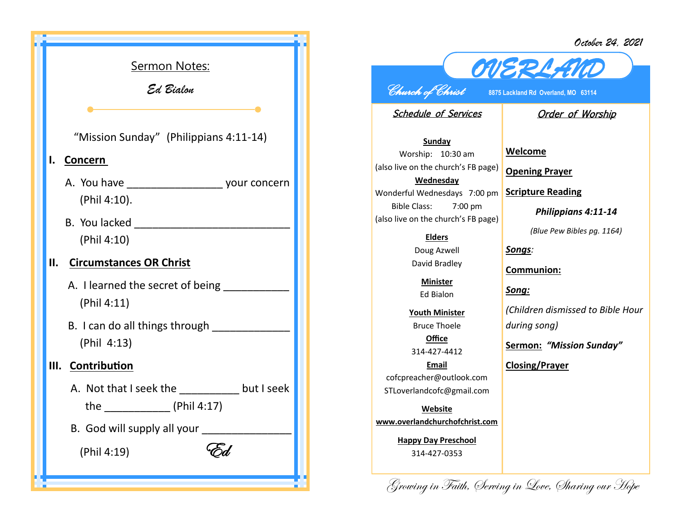*October 24, 2021*



## *OVERLAND Church of Christ* **8875 Lackland Rd Overland, MO 63114**

Schedule of Services

## Order of Worship

**Sunday** Worship: 10:30 am (also live on the church's FB page) **Wednesday** Wonderful Wednesdays 7:00 pm Bible Class: 7:00 pm (also live on the church's FB page)

> **Elders** Doug Azwell

David Bradley

**Minister** Ed Bialon

**Youth Minister** Bruce Thoele **Office**

314-427-4412

**Email** cofcpreacher@outlook.com STLoverlandcofc@gmail.com

**Website www.overlandchurchofchrist.com**

> **Happy Day Preschool** 314-427-0353

**Welcome**

**Opening Prayer**

**Scripture Reading**

*Philippians 4:11-14*

*(Blue Pew Bibles pg. 1164)*

*Songs:* 

**Communion:**

*Song:*

*(Children dismissed to Bible Hour during song)*

**Sermon:** *"Mission Sunday"*

**Closing/Prayer**

Growing in Faith, Serving in Love, Sharing our Hope